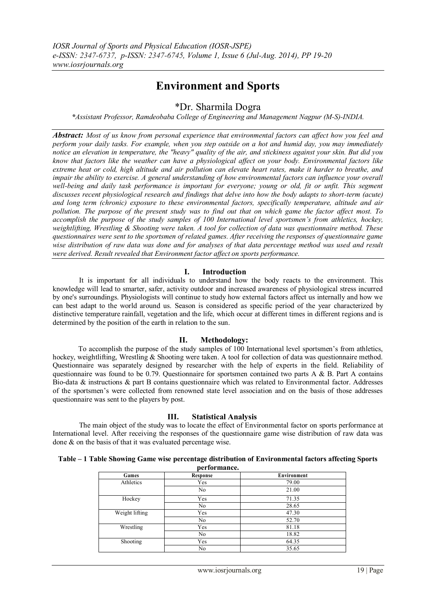# **Environment and Sports**

# \*Dr. Sharmila Dogra

*\*Assistant Professor, Ramdeobaba College of Engineering and Management Nagpur (M-S)-INDIA.*

*Abstract: Most of us know from personal experience that environmental factors can affect how you feel and perform your daily tasks. For example, when you step outside on a hot and humid day, you may immediately notice an elevation in temperature, the "heavy" quality of the air, and stickiness against your skin. But did you know that factors like the weather can have a physiological affect on your body. Environmental factors like extreme heat or cold, high altitude and air pollution can elevate heart rates, make it harder to breathe, and impair the ability to exercise. A general understanding of how environmental factors can influence your overall well-being and daily task performance is important for everyone; young or old, fit or unfit. This segment discusses recent physiological research and findings that delve into how the body adapts to short-term (acute) and long term (chronic) exposure to these environmental factors, specifically temperature, altitude and air pollution. The purpose of the present study was to find out that on which game the factor affect most. To accomplish the purpose of the study samples of 100 International level sportsmen's from athletics, hockey, weightlifting, Wrestling & Shooting were taken. A tool for collection of data was questionnaire method. These questionnaires were sent to the sportsmen of related games. After receiving the responses of questionnaire game wise distribution of raw data was done and for analyses of that data percentage method was used and result were derived. Result revealed that Environment factor affect on sports performance.* 

# **I. Introduction**

It is important for all individuals to understand how the body reacts to the environment. This knowledge will lead to smarter, safer, activity outdoor and increased awareness of physiological stress incurred by one's surroundings. Physiologists will continue to study how external factors affect us internally and how we can best adapt to the world around us. Season is considered as specific period of the year characterized by distinctive temperature rainfall, vegetation and the life, which occur at different times in different regions and is determined by the position of the earth in relation to the sun.

#### **II. Methodology:**

To accomplish the purpose of the study samples of 100 International level sportsmen's from athletics, hockey, weightlifting, Wrestling & Shooting were taken. A tool for collection of data was questionnaire method. Questionnaire was separately designed by researcher with the help of experts in the field. Reliability of questionnaire was found to be 0.79. Questionnaire for sportsmen contained two parts A & B. Part A contains Bio-data & instructions & part B contains questionnaire which was related to Environmental factor. Addresses of the sportsmen's were collected from renowned state level association and on the basis of those addresses questionnaire was sent to the players by post.

# **III. Statistical Analysis**

The main object of the study was to locate the effect of Environmental factor on sports performance at International level. After receiving the responses of the questionnaire game wise distribution of raw data was done & on the basis of that it was evaluated percentage wise.

| Table – 1 Table Showing Game wise percentage distribution of Environmental factors affecting Sports |
|-----------------------------------------------------------------------------------------------------|
| $\mathbf{r}$ and $\mathbf{r}$ and $\mathbf{r}$ and $\mathbf{r}$                                     |

| performance.   |          |             |  |
|----------------|----------|-------------|--|
| Games          | Response | Environment |  |
| Athletics      | Yes      | 79.00       |  |
|                | No       | 21.00       |  |
| Hockey         | Yes      | 71.35       |  |
|                | No       | 28.65       |  |
| Weight lifting | Yes      | 47.30       |  |
|                | No       | 52.70       |  |
| Wrestling      | Yes      | 81.18       |  |
|                | No       | 18.82       |  |
| Shooting       | Yes      | 64.35       |  |
|                | No       | 35.65       |  |